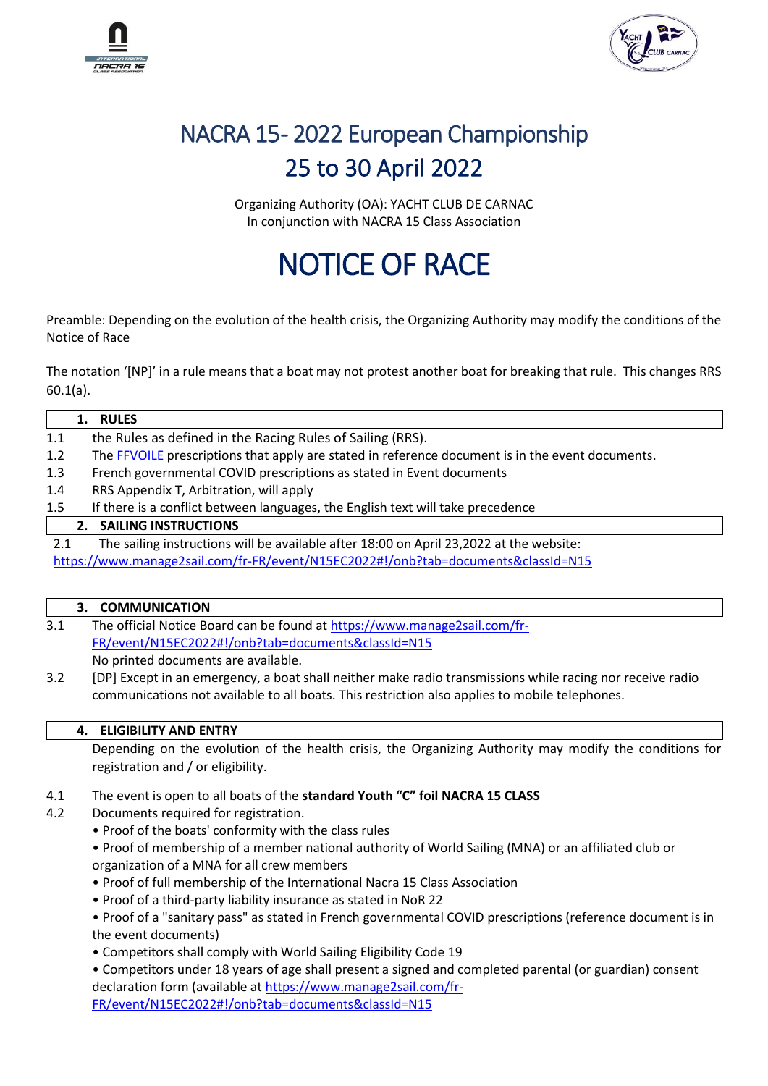



## NACRA 15-2022 European Championship 25 to 30 April 2022

Organizing Authority (OA): YACHT CLUB DE CARNAC In conjunction with NACRA 15 Class Association

# NOTICE OF RACE

Preamble: Depending on the evolution of the health crisis, the Organizing Authority may modify the conditions of the Notice of Race

The notation '[NP]' in a rule means that a boat may not protest another boat for breaking that rule. This changes RRS 60.1(a).

|     | <b>RULES</b>                                                                                     |
|-----|--------------------------------------------------------------------------------------------------|
| 1.1 | the Rules as defined in the Racing Rules of Sailing (RRS).                                       |
| 1.2 | The FFVOILE prescriptions that apply are stated in reference document is in the event documents. |
| 1.3 | French governmental COVID prescriptions as stated in Event documents                             |
| 1.4 | RRS Appendix T, Arbitration, will apply                                                          |
| 1.5 | If there is a conflict between languages, the English text will take precedence                  |
|     | 2. SAILING INSTRUCTIONS                                                                          |
| 2.1 | The sailing instructions will be available after 18:00 on April 23,2022 at the website:          |
|     | https://www.manage2sail.com/fr-FR/event/N15EC2022#!/onb?tab=documents&classId=N15                |

### **3. COMMUNICATION**

- 3.1 The official Notice Board can be found at [https://www.manage2sail.com/fr-](https://www.manage2sail.com/fr-FR/event/N15EC2022#!/onb?tab=documents&classId=N15)[FR/event/N15EC2022#!/onb?tab=documents&classId=N15](https://www.manage2sail.com/fr-FR/event/N15EC2022#!/onb?tab=documents&classId=N15) No printed documents are available.
- 3.2 [DP] Except in an emergency, a boat shall neither make radio transmissions while racing nor receive radio communications not available to all boats. This restriction also applies to mobile telephones.

#### **4. ELIGIBILITY AND ENTRY**

Depending on the evolution of the health crisis, the Organizing Authority may modify the conditions for registration and / or eligibility.

- 4.1 The event is open to all boats of the **standard Youth "C" foil NACRA 15 CLASS**
- 4.2 Documents required for registration.
	- Proof of the boats' conformity with the class rules

• Proof of membership of a member national authority of World Sailing (MNA) or an affiliated club or organization of a MNA for all crew members

- Proof of full membership of the International Nacra 15 Class Association
- Proof of a third-party liability insurance as stated in NoR 22

• Proof of a "sanitary pass" as stated in French governmental COVID prescriptions (reference document is in the event documents)

• Competitors shall comply with World Sailing Eligibility Code 19

• Competitors under 18 years of age shall present a signed and completed parental (or guardian) consent declaration form (available at [https://www.manage2sail.com/fr-](https://www.manage2sail.com/fr-FR/event/N15EC2022#!/onb?tab=documents&classId=N15)

[FR/event/N15EC2022#!/onb?tab=documents&classId=N15](https://www.manage2sail.com/fr-FR/event/N15EC2022#!/onb?tab=documents&classId=N15)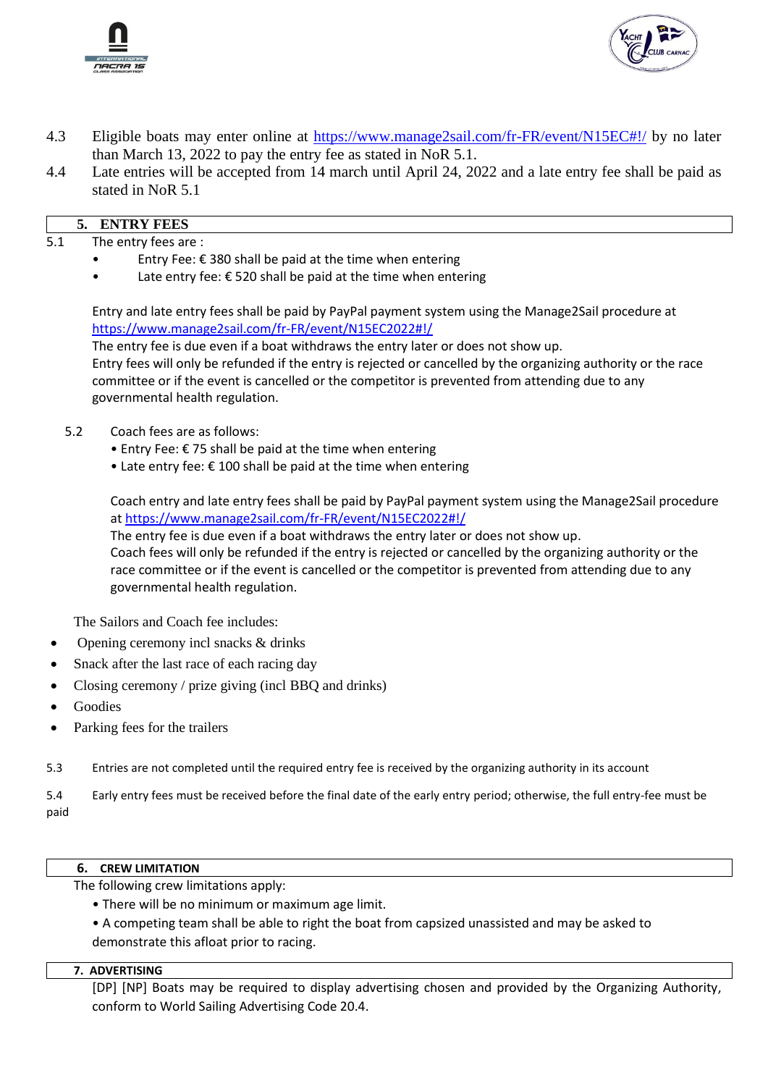



- 4.3 Eligible boats may enter online at<https://www.manage2sail.com/fr-FR/event/N15EC#!/> by no later than March 13, 2022 to pay the entry fee as stated in NoR 5.1.
- 4.4 Late entries will be accepted from 14 march until April 24, 2022 and a late entry fee shall be paid as stated in NoR 5.1

- 5.1 The entry fees are :
	- Entry Fee:  $\epsilon$  380 shall be paid at the time when entering
	- Late entry fee:  $\epsilon$  520 shall be paid at the time when entering

Entry and late entry fees shall be paid by PayPal payment system using the Manage2Sail procedure at <https://www.manage2sail.com/fr-FR/event/N15EC2022#!/>

The entry fee is due even if a boat withdraws the entry later or does not show up.

Entry fees will only be refunded if the entry is rejected or cancelled by the organizing authority or the race committee or if the event is cancelled or the competitor is prevented from attending due to any governmental health regulation.

- 5.2 Coach fees are as follows:
	- Entry Fee:  $\epsilon$  75 shall be paid at the time when entering
	- Late entry fee:  $\epsilon$  100 shall be paid at the time when entering

Coach entry and late entry fees shall be paid by PayPal payment system using the Manage2Sail procedure at [https://www.manage2sail.com/fr-FR/event/N15EC2022#!/](https://www.manage2sail.com/fr-FR/event/N15EC#!/)

The entry fee is due even if a boat withdraws the entry later or does not show up. Coach fees will only be refunded if the entry is rejected or cancelled by the organizing authority or the race committee or if the event is cancelled or the competitor is prevented from attending due to any governmental health regulation.

The Sailors and Coach fee includes:

- Opening ceremony incl snacks & drinks
- Snack after the last race of each racing day
- Closing ceremony / prize giving (incl BBQ and drinks)
- **Goodies**
- Parking fees for the trailers
- 5.3 Entries are not completed until the required entry fee is received by the organizing authority in its account

5.4 Early entry fees must be received before the final date of the early entry period; otherwise, the full entry-fee must be paid

#### **6. CREW LIMITATION**

The following crew limitations apply:

- There will be no minimum or maximum age limit.
- A competing team shall be able to right the boat from capsized unassisted and may be asked to demonstrate this afloat prior to racing.

#### **7. ADVERTISING**

[DP] [NP] Boats may be required to display advertising chosen and provided by the Organizing Authority, conform to World Sailing Advertising Code 20.4.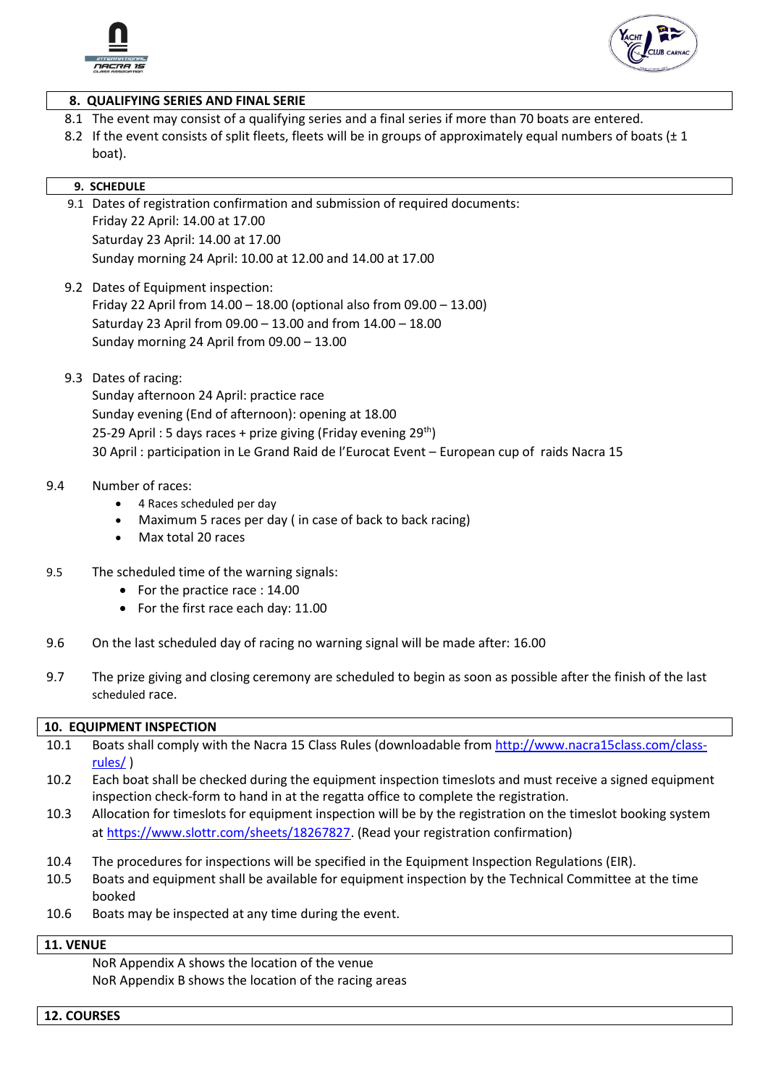



#### **8. QUALIFYING SERIES AND FINAL SERIE**

- 8.1 The event may consist of a qualifying series and a final series if more than 70 boats are entered.
- 8.2 If the event consists of split fleets, fleets will be in groups of approximately equal numbers of boats ( $\pm 1$ ) boat).

#### **9. SCHEDULE**

- 9.1 Dates of registration confirmation and submission of required documents: Friday 22 April: 14.00 at 17.00 Saturday 23 April: 14.00 at 17.00 Sunday morning 24 April: 10.00 at 12.00 and 14.00 at 17.00
- 9.2 Dates of Equipment inspection: Friday 22 April from 14.00 – 18.00 (optional also from 09.00 – 13.00) Saturday 23 April from 09.00 – 13.00 and from 14.00 – 18.00 Sunday morning 24 April from 09.00 – 13.00
- 9.3 Dates of racing:

Sunday afternoon 24 April: practice race Sunday evening (End of afternoon): opening at 18.00 25-29 April : 5 days races + prize giving (Friday evening  $29<sup>th</sup>$ ) 30 April : participation in Le Grand Raid de l'Eurocat Event – European cup of raids Nacra 15

#### 9.4 Number of races:

- 4 Races scheduled per day
- Maximum 5 races per day ( in case of back to back racing)
- Max total 20 races
- 9.5 The scheduled time of the warning signals:
	- For the practice race : 14.00
	- For the first race each day: 11.00
- 9.6 On the last scheduled day of racing no warning signal will be made after: 16.00
- 9.7 The prize giving and closing ceremony are scheduled to begin as soon as possible after the finish of the last scheduled race.

#### **10. EQUIPMENT INSPECTION**

- 10.1 Boats shall comply with the Nacra 15 Class Rules (downloadable from [http://www.nacra15class.com/class](http://www.nacra15class.com/class-rules/)[rules/](http://www.nacra15class.com/class-rules/) )
- 10.2 Each boat shall be checked during the equipment inspection timeslots and must receive a signed equipment inspection check-form to hand in at the regatta office to complete the registration.
- 10.3 Allocation for timeslots for equipment inspection will be by the registration on the timeslot booking system a[t https://www.slottr.com/sheets/18267827.](https://www.slottr.com/sheets/18267827) (Read your registration confirmation)
- 10.4 The procedures for inspections will be specified in the Equipment Inspection Regulations (EIR).
- 10.5 Boats and equipment shall be available for equipment inspection by the Technical Committee at the time booked
- 10.6 Boats may be inspected at any time during the event.

#### **11. VENUE**

NoR Appendix A shows the location of the venue NoR Appendix B shows the location of the racing areas

**12. COURSES**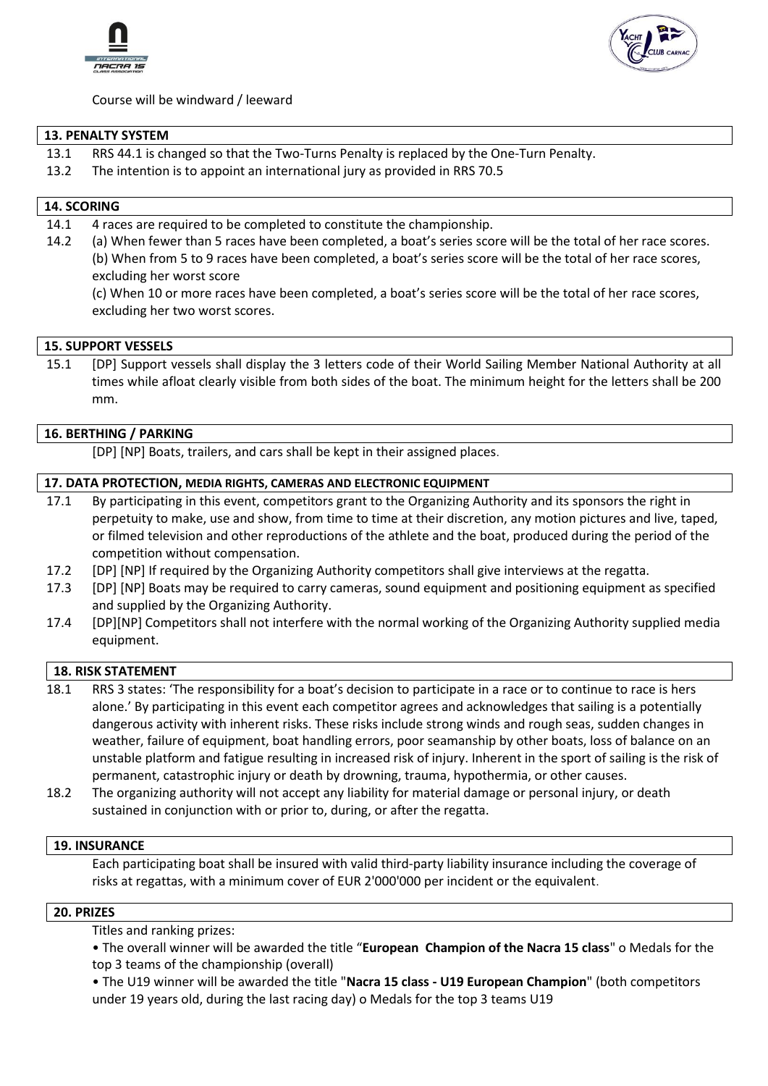



Course will be windward / leeward

#### **13. PENALTY SYSTEM**

- 13.1 RRS 44.1 is changed so that the Two-Turns Penalty is replaced by the One-Turn Penalty.
- 13.2 The intention is to appoint an international jury as provided in RRS 70.5

#### **14. SCORING**

- 14.1 4 races are required to be completed to constitute the championship.
- 14.2 (a) When fewer than 5 races have been completed, a boat's series score will be the total of her race scores. (b) When from 5 to 9 races have been completed, a boat's series score will be the total of her race scores, excluding her worst score

(c) When 10 or more races have been completed, a boat's series score will be the total of her race scores, excluding her two worst scores.

#### **15. SUPPORT VESSELS**

15.1 [DP] Support vessels shall display the 3 letters code of their World Sailing Member National Authority at all times while afloat clearly visible from both sides of the boat. The minimum height for the letters shall be 200 mm.

#### **16. BERTHING / PARKING**

[DP] [NP] Boats, trailers, and cars shall be kept in their assigned places.

#### **17. DATA PROTECTION, MEDIA RIGHTS, CAMERAS AND ELECTRONIC EQUIPMENT**

- 17.1 By participating in this event, competitors grant to the Organizing Authority and its sponsors the right in perpetuity to make, use and show, from time to time at their discretion, any motion pictures and live, taped, or filmed television and other reproductions of the athlete and the boat, produced during the period of the competition without compensation.
- 17.2 [DP] [NP] If required by the Organizing Authority competitors shall give interviews at the regatta.
- 17.3 [DP] [NP] Boats may be required to carry cameras, sound equipment and positioning equipment as specified and supplied by the Organizing Authority.
- 17.4 [DP][NP] Competitors shall not interfere with the normal working of the Organizing Authority supplied media equipment.

#### **18. RISK STATEMENT**

- 18.1 RRS 3 states: 'The responsibility for a boat's decision to participate in a race or to continue to race is hers alone.' By participating in this event each competitor agrees and acknowledges that sailing is a potentially dangerous activity with inherent risks. These risks include strong winds and rough seas, sudden changes in weather, failure of equipment, boat handling errors, poor seamanship by other boats, loss of balance on an unstable platform and fatigue resulting in increased risk of injury. Inherent in the sport of sailing is the risk of permanent, catastrophic injury or death by drowning, trauma, hypothermia, or other causes.
- 18.2 The organizing authority will not accept any liability for material damage or personal injury, or death sustained in conjunction with or prior to, during, or after the regatta.

#### **19. INSURANCE**

Each participating boat shall be insured with valid third-party liability insurance including the coverage of risks at regattas, with a minimum cover of EUR 2'000'000 per incident or the equivalent.

#### **20. PRIZES**

Titles and ranking prizes:

• The overall winner will be awarded the title "**European Champion of the Nacra 15 class**" o Medals for the top 3 teams of the championship (overall)

• The U19 winner will be awarded the title "**Nacra 15 class - U19 European Champion**" (both competitors under 19 years old, during the last racing day) o Medals for the top 3 teams U19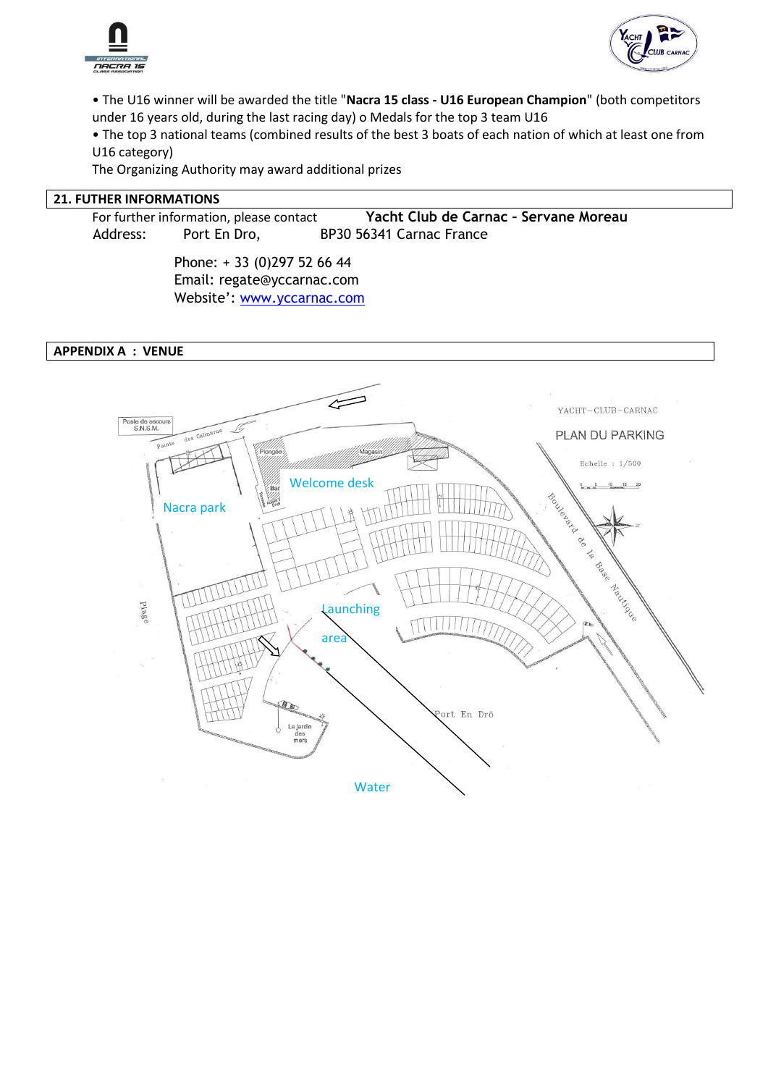



• The U16 winner will be awarded the title "**Nacra 15 class - U16 European Champion**" (both competitors under 16 years old, during the last racing day) o Medals for the top 3 team U16

• The top 3 national teams (combined results of the best 3 boats of each nation of which at least one from U16 category)

The Organizing Authority may award additional prizes

#### **21. FUTHER INFORMATIONS**

For further information, please contact **Yacht Club de Carnac – Servane Moreau** Address: Port En Dro, BP30 56341 Carnac France

> Phone: + 33 (0)297 52 66 44 Email: regate@yccarnac.com Website': [www.yccarnac.com](http://www.yccarnac.com/)

#### **APPENDIX A : VENUE**